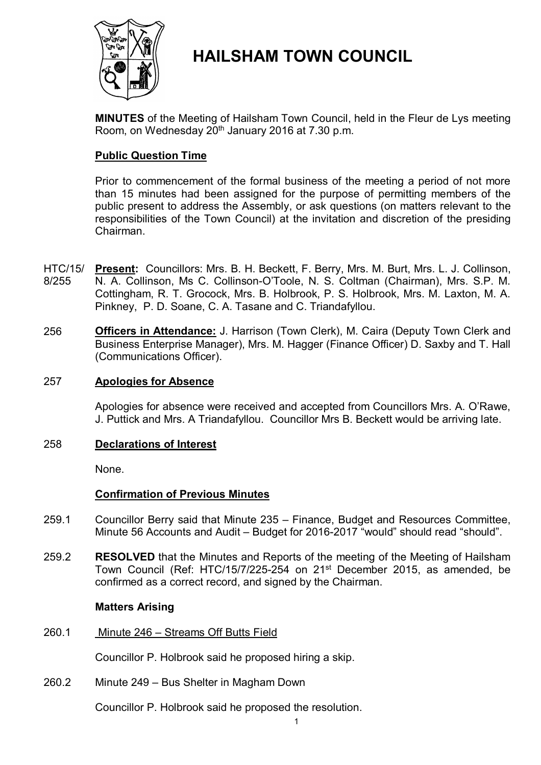

# **HAILSHAM TOWN COUNCIL**

**MINUTES** of the Meeting of Hailsham Town Council, held in the Fleur de Lys meeting Room, on Wednesday 20<sup>th</sup> January 2016 at 7.30 p.m.

# **Public Question Time**

Prior to commencement of the formal business of the meeting a period of not more than 15 minutes had been assigned for the purpose of permitting members of the public present to address the Assembly, or ask questions (on matters relevant to the responsibilities of the Town Council) at the invitation and discretion of the presiding Chairman.

- HTC/15/ 8/255 **Present:** Councillors: Mrs. B. H. Beckett, F. Berry, Mrs. M. Burt, Mrs. L. J. Collinson, N. A. Collinson, Ms C. Collinson-O'Toole, N. S. Coltman (Chairman), Mrs. S.P. M. Cottingham, R. T. Grocock, Mrs. B. Holbrook, P. S. Holbrook, Mrs. M. Laxton, M. A. Pinkney, P. D. Soane, C. A. Tasane and C. Triandafyllou.
- 256 **Officers in Attendance:** J. Harrison (Town Clerk), M. Caira (Deputy Town Clerk and Business Enterprise Manager), Mrs. M. Hagger (Finance Officer) D. Saxby and T. Hall (Communications Officer).

## 257 **Apologies for Absence**

Apologies for absence were received and accepted from Councillors Mrs. A. O'Rawe, J. Puttick and Mrs. A Triandafyllou. Councillor Mrs B. Beckett would be arriving late.

# 258 **Declarations of Interest**

None.

# **Confirmation of Previous Minutes**

- 259.1 Councillor Berry said that Minute 235 – Finance, Budget and Resources Committee, Minute 56 Accounts and Audit – Budget for 2016-2017 "would" should read "should".
- 259.2 **RESOLVED** that the Minutes and Reports of the meeting of the Meeting of Hailsham Town Council (Ref: HTC/15/7/225-254 on 21<sup>st</sup> December 2015, as amended, be confirmed as a correct record, and signed by the Chairman.

### **Matters Arising**

260.1 Minute 246 – Streams Off Butts Field

Councillor P. Holbrook said he proposed hiring a skip.

260.2 Minute 249 – Bus Shelter in Magham Down

Councillor P. Holbrook said he proposed the resolution.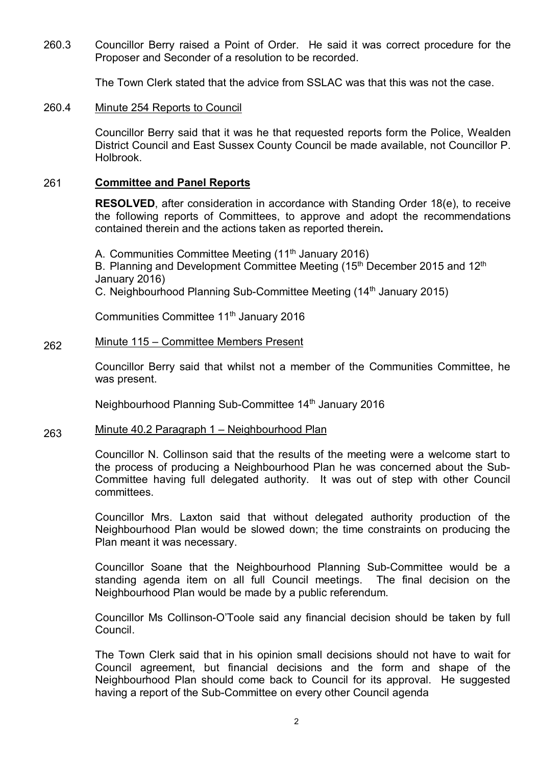260.3 Councillor Berry raised a Point of Order. He said it was correct procedure for the Proposer and Seconder of a resolution to be recorded.

The Town Clerk stated that the advice from SSLAC was that this was not the case.

#### 260.4 Minute 254 Reports to Council

Councillor Berry said that it was he that requested reports form the Police, Wealden District Council and East Sussex County Council be made available, not Councillor P. Holbrook.

### 261 **Committee and Panel Reports**

**RESOLVED**, after consideration in accordance with Standing Order 18(e), to receive the following reports of Committees, to approve and adopt the recommendations contained therein and the actions taken as reported therein**.**

A. Communities Committee Meeting (11<sup>th</sup> January 2016) B. Planning and Development Committee Meeting (15<sup>th</sup> December 2015 and 12<sup>th</sup> January 2016) C. Neighbourhood Planning Sub-Committee Meeting (14<sup>th</sup> January 2015)

Communities Committee 11th January 2016

### 262 Minute 115 – Committee Members Present

Councillor Berry said that whilst not a member of the Communities Committee, he was present.

Neighbourhood Planning Sub-Committee 14th January 2016

### 263 Minute 40.2 Paragraph 1 – Neighbourhood Plan

Councillor N. Collinson said that the results of the meeting were a welcome start to the process of producing a Neighbourhood Plan he was concerned about the Sub-Committee having full delegated authority. It was out of step with other Council committees.

Councillor Mrs. Laxton said that without delegated authority production of the Neighbourhood Plan would be slowed down; the time constraints on producing the Plan meant it was necessary.

Councillor Soane that the Neighbourhood Planning Sub-Committee would be a standing agenda item on all full Council meetings. The final decision on the Neighbourhood Plan would be made by a public referendum.

Councillor Ms Collinson-O'Toole said any financial decision should be taken by full Council.

The Town Clerk said that in his opinion small decisions should not have to wait for Council agreement, but financial decisions and the form and shape of the Neighbourhood Plan should come back to Council for its approval. He suggested having a report of the Sub-Committee on every other Council agenda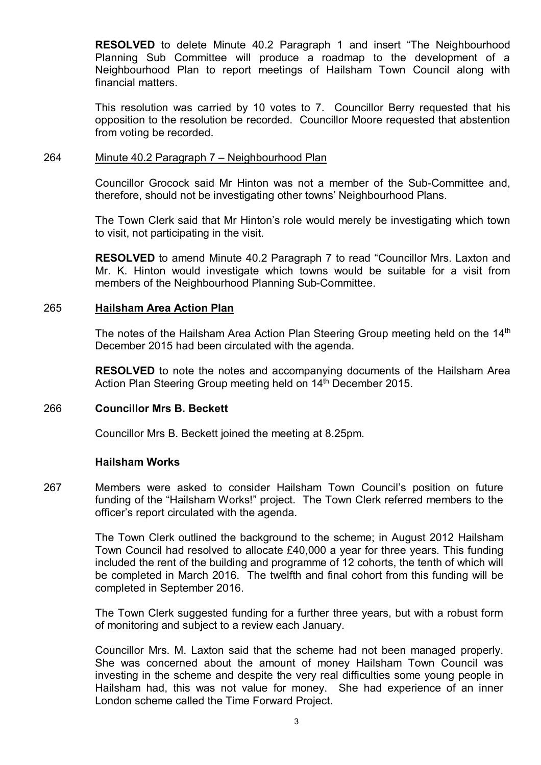**RESOLVED** to delete Minute 40.2 Paragraph 1 and insert "The Neighbourhood Planning Sub Committee will produce a roadmap to the development of a Neighbourhood Plan to report meetings of Hailsham Town Council along with financial matters.

This resolution was carried by 10 votes to 7. Councillor Berry requested that his opposition to the resolution be recorded. Councillor Moore requested that abstention from voting be recorded.

#### 264 Minute 40.2 Paragraph 7 – Neighbourhood Plan

Councillor Grocock said Mr Hinton was not a member of the Sub-Committee and, therefore, should not be investigating other towns' Neighbourhood Plans.

The Town Clerk said that Mr Hinton's role would merely be investigating which town to visit, not participating in the visit.

**RESOLVED** to amend Minute 40.2 Paragraph 7 to read "Councillor Mrs. Laxton and Mr. K. Hinton would investigate which towns would be suitable for a visit from members of the Neighbourhood Planning Sub-Committee.

### 265 **Hailsham Area Action Plan**

The notes of the Hailsham Area Action Plan Steering Group meeting held on the 14<sup>th</sup> December 2015 had been circulated with the agenda.

**RESOLVED** to note the notes and accompanying documents of the Hailsham Area Action Plan Steering Group meeting held on 14<sup>th</sup> December 2015.

### 266 **Councillor Mrs B. Beckett**

Councillor Mrs B. Beckett joined the meeting at 8.25pm.

### **Hailsham Works**

267 Members were asked to consider Hailsham Town Council's position on future funding of the "Hailsham Works!" project. The Town Clerk referred members to the officer's report circulated with the agenda.

> The Town Clerk outlined the background to the scheme; in August 2012 Hailsham Town Council had resolved to allocate £40,000 a year for three years. This funding included the rent of the building and programme of 12 cohorts, the tenth of which will be completed in March 2016. The twelfth and final cohort from this funding will be completed in September 2016.

> The Town Clerk suggested funding for a further three years, but with a robust form of monitoring and subject to a review each January.

> Councillor Mrs. M. Laxton said that the scheme had not been managed properly. She was concerned about the amount of money Hailsham Town Council was investing in the scheme and despite the very real difficulties some young people in Hailsham had, this was not value for money. She had experience of an inner London scheme called the Time Forward Project.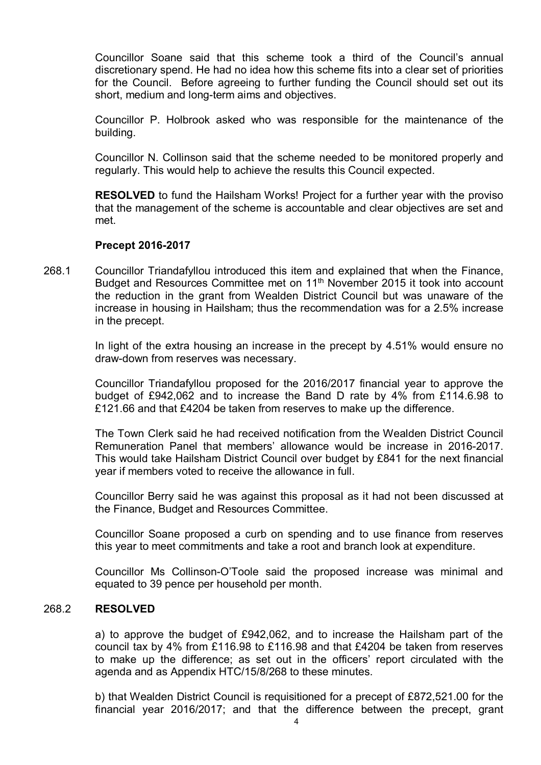Councillor Soane said that this scheme took a third of the Council's annual discretionary spend. He had no idea how this scheme fits into a clear set of priorities for the Council. Before agreeing to further funding the Council should set out its short, medium and long-term aims and objectives.

Councillor P. Holbrook asked who was responsible for the maintenance of the building.

Councillor N. Collinson said that the scheme needed to be monitored properly and regularly. This would help to achieve the results this Council expected.

**RESOLVED** to fund the Hailsham Works! Project for a further year with the proviso that the management of the scheme is accountable and clear objectives are set and met.

### **Precept 2016-2017**

268.1 Councillor Triandafyllou introduced this item and explained that when the Finance, Budget and Resources Committee met on 11<sup>th</sup> November 2015 it took into account the reduction in the grant from Wealden District Council but was unaware of the increase in housing in Hailsham; thus the recommendation was for a 2.5% increase in the precept.

> In light of the extra housing an increase in the precept by 4.51% would ensure no draw-down from reserves was necessary.

> Councillor Triandafyllou proposed for the 2016/2017 financial year to approve the budget of £942,062 and to increase the Band D rate by 4% from £114.6.98 to £121.66 and that £4204 be taken from reserves to make up the difference.

> The Town Clerk said he had received notification from the Wealden District Council Remuneration Panel that members' allowance would be increase in 2016-2017. This would take Hailsham District Council over budget by £841 for the next financial year if members voted to receive the allowance in full.

> Councillor Berry said he was against this proposal as it had not been discussed at the Finance, Budget and Resources Committee.

> Councillor Soane proposed a curb on spending and to use finance from reserves this year to meet commitments and take a root and branch look at expenditure.

> Councillor Ms Collinson-O'Toole said the proposed increase was minimal and equated to 39 pence per household per month.

#### 268.2 **RESOLVED**

a) to approve the budget of £942,062, and to increase the Hailsham part of the council tax by 4% from £116.98 to £116.98 and that £4204 be taken from reserves to make up the difference; as set out in the officers' report circulated with the agenda and as Appendix HTC/15/8/268 to these minutes.

b) that Wealden District Council is requisitioned for a precept of £872,521.00 for the financial year 2016/2017; and that the difference between the precept, grant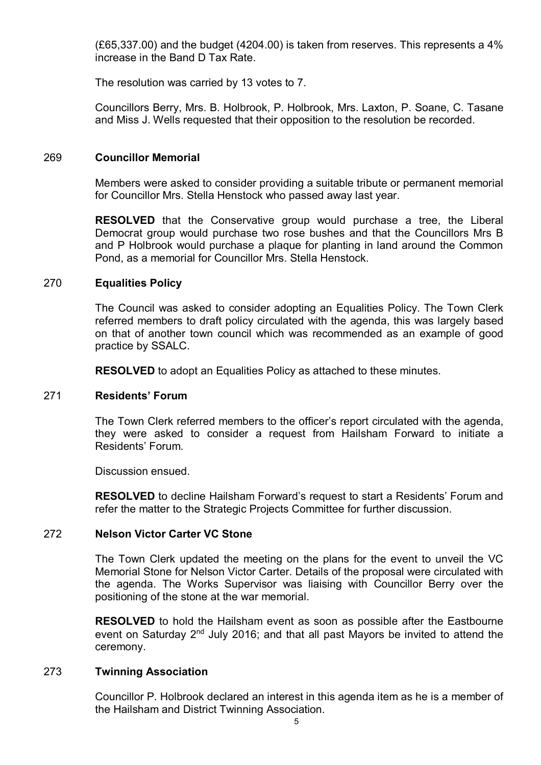(£65,337.00) and the budget (4204.00) is taken from reserves. This represents a 4% increase in the Band D Tax Rate.

The resolution was carried by 13 votes to 7.

Councillors Berry, Mrs. B. Holbrook, P. Holbrook, Mrs. Laxton, P. Soane, C. Tasane and Miss J. Wells requested that their opposition to the resolution be recorded.

### 269 **Councillor Memorial**

Members were asked to consider providing a suitable tribute or permanent memorial for Councillor Mrs. Stella Henstock who passed away last year.

**RESOLVED** that the Conservative group would purchase a tree, the Liberal Democrat group would purchase two rose bushes and that the Councillors Mrs B and P Holbrook would purchase a plaque for planting in land around the Common Pond, as a memorial for Councillor Mrs. Stella Henstock.

### 270 **Equalities Policy**

The Council was asked to consider adopting an Equalities Policy. The Town Clerk referred members to draft policy circulated with the agenda, this was largely based on that of another town council which was recommended as an example of good practice by SSALC.

**RESOLVED** to adopt an Equalities Policy as attached to these minutes.

### 271 **Residents' Forum**

The Town Clerk referred members to the officer's report circulated with the agenda, they were asked to consider a request from Hailsham Forward to initiate a Residents' Forum.

Discussion ensued.

**RESOLVED** to decline Hailsham Forward's request to start a Residents' Forum and refer the matter to the Strategic Projects Committee for further discussion.

### 272 **Nelson Victor Carter VC Stone**

The Town Clerk updated the meeting on the plans for the event to unveil the VC Memorial Stone for Nelson Victor Carter. Details of the proposal were circulated with the agenda. The Works Supervisor was liaising with Councillor Berry over the positioning of the stone at the war memorial.

**RESOLVED** to hold the Hailsham event as soon as possible after the Eastbourne event on Saturday 2<sup>nd</sup> July 2016; and that all past Mayors be invited to attend the ceremony.

### 273 **Twinning Association**

Councillor P. Holbrook declared an interest in this agenda item as he is a member of the Hailsham and District Twinning Association.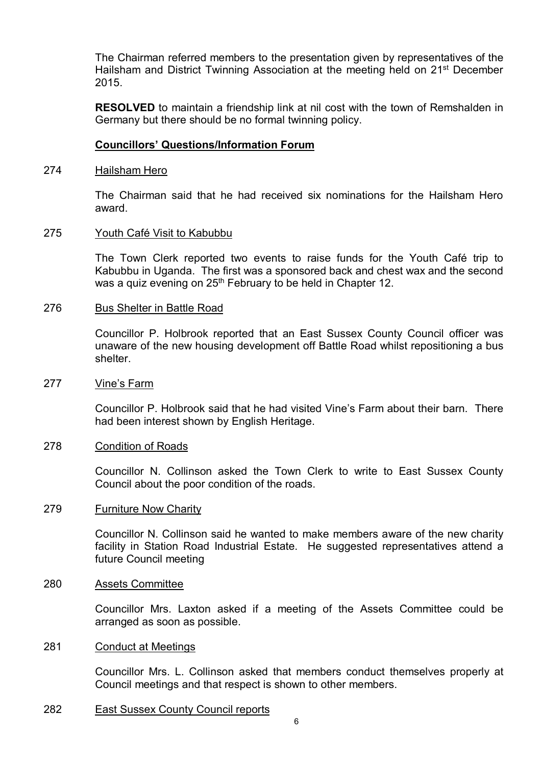The Chairman referred members to the presentation given by representatives of the Hailsham and District Twinning Association at the meeting held on 21<sup>st</sup> December 2015.

**RESOLVED** to maintain a friendship link at nil cost with the town of Remshalden in Germany but there should be no formal twinning policy.

### **Councillors' Questions/Information Forum**

#### 274 Hailsham Hero

The Chairman said that he had received six nominations for the Hailsham Hero award.

#### 275 Youth Café Visit to Kabubbu

The Town Clerk reported two events to raise funds for the Youth Café trip to Kabubbu in Uganda. The first was a sponsored back and chest wax and the second was a quiz evening on 25<sup>th</sup> February to be held in Chapter 12.

#### 276 Bus Shelter in Battle Road

Councillor P. Holbrook reported that an East Sussex County Council officer was unaware of the new housing development off Battle Road whilst repositioning a bus shelter.

#### 277 Vine's Farm

Councillor P. Holbrook said that he had visited Vine's Farm about their barn. There had been interest shown by English Heritage.

#### 278 Condition of Roads

Councillor N. Collinson asked the Town Clerk to write to East Sussex County Council about the poor condition of the roads.

#### 279 **Furniture Now Charity**

Councillor N. Collinson said he wanted to make members aware of the new charity facility in Station Road Industrial Estate. He suggested representatives attend a future Council meeting

#### 280 Assets Committee

Councillor Mrs. Laxton asked if a meeting of the Assets Committee could be arranged as soon as possible.

#### 281 Conduct at Meetings

Councillor Mrs. L. Collinson asked that members conduct themselves properly at Council meetings and that respect is shown to other members.

282 East Sussex County Council reports